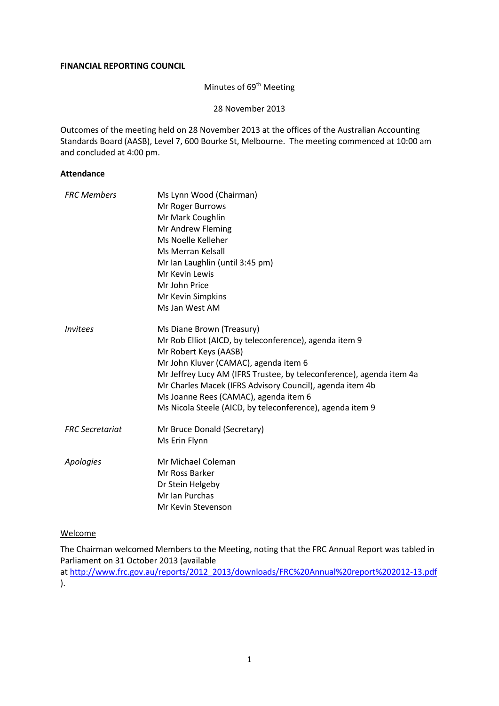#### **FINANCIAL REPORTING COUNCIL**

# Minutes of 69<sup>th</sup> Meeting

28 November 2013

Outcomes of the meeting held on 28 November 2013 at the offices of the Australian Accounting Standards Board (AASB), Level 7, 600 Bourke St, Melbourne. The meeting commenced at 10:00 am and concluded at 4:00 pm.

### **Attendance**

| <b>FRC Members</b>            | Ms Lynn Wood (Chairman)                                              |  |  |
|-------------------------------|----------------------------------------------------------------------|--|--|
|                               | Mr Roger Burrows                                                     |  |  |
|                               | Mr Mark Coughlin                                                     |  |  |
|                               | Mr Andrew Fleming                                                    |  |  |
|                               | Ms Noelle Kelleher                                                   |  |  |
|                               | Ms Merran Kelsall                                                    |  |  |
|                               | Mr Ian Laughlin (until 3:45 pm)                                      |  |  |
|                               | Mr Kevin Lewis                                                       |  |  |
|                               | Mr John Price                                                        |  |  |
|                               | Mr Kevin Simpkins                                                    |  |  |
|                               | Ms Jan West AM                                                       |  |  |
| <i><u><b>Invitees</b></u></i> | Ms Diane Brown (Treasury)                                            |  |  |
|                               | Mr Rob Elliot (AICD, by teleconference), agenda item 9               |  |  |
|                               | Mr Robert Keys (AASB)                                                |  |  |
|                               | Mr John Kluver (CAMAC), agenda item 6                                |  |  |
|                               | Mr Jeffrey Lucy AM (IFRS Trustee, by teleconference), agenda item 4a |  |  |
|                               | Mr Charles Macek (IFRS Advisory Council), agenda item 4b             |  |  |
|                               | Ms Joanne Rees (CAMAC), agenda item 6                                |  |  |
|                               | Ms Nicola Steele (AICD, by teleconference), agenda item 9            |  |  |
| <b>FRC</b> Secretariat        | Mr Bruce Donald (Secretary)                                          |  |  |
|                               | Ms Erin Flynn                                                        |  |  |
| Apologies                     | Mr Michael Coleman                                                   |  |  |
|                               | Mr Ross Barker                                                       |  |  |
|                               | Dr Stein Helgeby                                                     |  |  |
|                               | Mr Ian Purchas                                                       |  |  |
|                               | Mr Kevin Stevenson                                                   |  |  |

#### Welcome

The Chairman welcomed Members to the Meeting, noting that the FRC Annual Report was tabled in Parliament on 31 October 2013 (available at [http://www.frc.gov.au/reports/2012\\_2013/downloads/FRC%20Annual%20report%202012-13.pdf](http://www.frc.gov.au/reports/2012_2013/downloads/FRC%20Annual%20report%202012-13.pdf) ).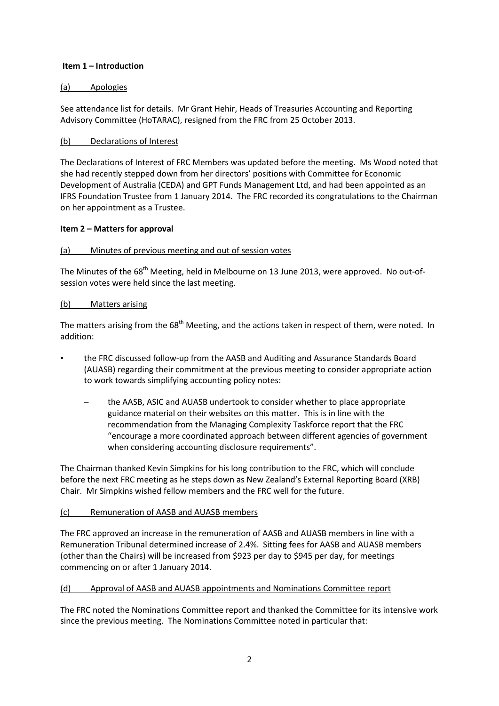### **Item 1 – Introduction**

### (a) Apologies

See attendance list for details. Mr Grant Hehir, Heads of Treasuries Accounting and Reporting Advisory Committee (HoTARAC), resigned from the FRC from 25 October 2013.

### (b) Declarations of Interest

The Declarations of Interest of FRC Members was updated before the meeting. Ms Wood noted that she had recently stepped down from her directors' positions with Committee for Economic Development of Australia (CEDA) and GPT Funds Management Ltd, and had been appointed as an IFRS Foundation Trustee from 1 January 2014. The FRC recorded its congratulations to the Chairman on her appointment as a Trustee.

### **Item 2 – Matters for approval**

### (a) Minutes of previous meeting and out of session votes

The Minutes of the 68<sup>th</sup> Meeting, held in Melbourne on 13 June 2013, were approved. No out-ofsession votes were held since the last meeting.

### (b) Matters arising

The matters arising from the  $68<sup>th</sup>$  Meeting, and the actions taken in respect of them, were noted. In addition:

- the FRC discussed follow-up from the AASB and Auditing and Assurance Standards Board (AUASB) regarding their commitment at the previous meeting to consider appropriate action to work towards simplifying accounting policy notes:
	- the AASB, ASIC and AUASB undertook to consider whether to place appropriate guidance material on their websites on this matter. This is in line with the recommendation from the Managing Complexity Taskforce report that the FRC "encourage a more coordinated approach between different agencies of government when considering accounting disclosure requirements".

The Chairman thanked Kevin Simpkins for his long contribution to the FRC, which will conclude before the next FRC meeting as he steps down as New Zealand's External Reporting Board (XRB) Chair. Mr Simpkins wished fellow members and the FRC well for the future.

### (c) Remuneration of AASB and AUASB members

The FRC approved an increase in the remuneration of AASB and AUASB members in line with a Remuneration Tribunal determined increase of 2.4%. Sitting fees for AASB and AUASB members (other than the Chairs) will be increased from \$923 per day to \$945 per day, for meetings commencing on or after 1 January 2014.

#### (d) Approval of AASB and AUASB appointments and Nominations Committee report

The FRC noted the Nominations Committee report and thanked the Committee for its intensive work since the previous meeting. The Nominations Committee noted in particular that: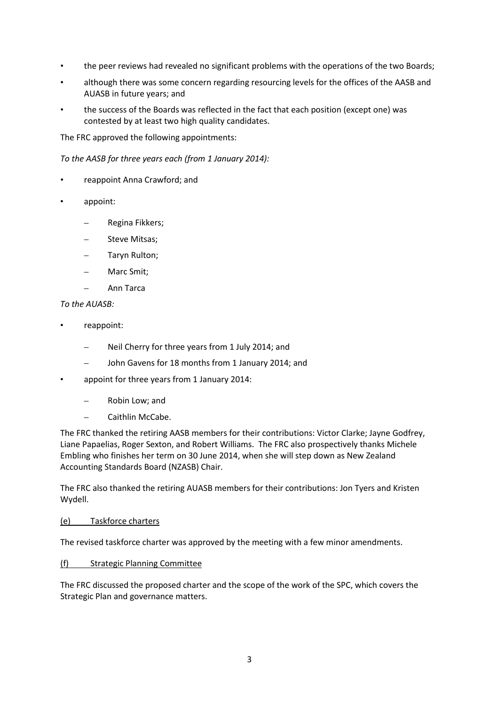- the peer reviews had revealed no significant problems with the operations of the two Boards;
- although there was some concern regarding resourcing levels for the offices of the AASB and AUASB in future years; and
- the success of the Boards was reflected in the fact that each position (except one) was contested by at least two high quality candidates.

The FRC approved the following appointments:

*To the AASB for three years each (from 1 January 2014):*

- reappoint Anna Crawford; and
- appoint:
	- Regina Fikkers;
	- Steve Mitsas;
	- Taryn Rulton;
	- Marc Smit;
	- Ann Tarca

#### *To the AUASB:*

- reappoint:
	- Neil Cherry for three years from 1 July 2014; and
	- John Gavens for 18 months from 1 January 2014; and
- appoint for three years from 1 January 2014:
	- Robin Low; and
	- Caithlin McCabe.

The FRC thanked the retiring AASB members for their contributions: Victor Clarke; Jayne Godfrey, Liane Papaelias, Roger Sexton, and Robert Williams. The FRC also prospectively thanks Michele Embling who finishes her term on 30 June 2014, when she will step down as New Zealand Accounting Standards Board (NZASB) Chair.

The FRC also thanked the retiring AUASB members for their contributions: Jon Tyers and Kristen Wydell.

#### (e) Taskforce charters

The revised taskforce charter was approved by the meeting with a few minor amendments.

#### (f) Strategic Planning Committee

The FRC discussed the proposed charter and the scope of the work of the SPC, which covers the Strategic Plan and governance matters.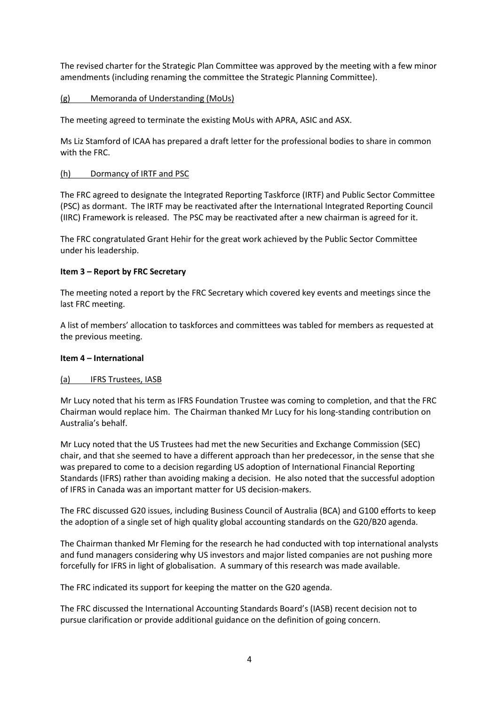The revised charter for the Strategic Plan Committee was approved by the meeting with a few minor amendments (including renaming the committee the Strategic Planning Committee).

(g) Memoranda of Understanding (MoUs)

The meeting agreed to terminate the existing MoUs with APRA, ASIC and ASX.

Ms Liz Stamford of ICAA has prepared a draft letter for the professional bodies to share in common with the FRC.

#### (h) Dormancy of IRTF and PSC

The FRC agreed to designate the Integrated Reporting Taskforce (IRTF) and Public Sector Committee (PSC) as dormant. The IRTF may be reactivated after the International Integrated Reporting Council (IIRC) Framework is released. The PSC may be reactivated after a new chairman is agreed for it.

The FRC congratulated Grant Hehir for the great work achieved by the Public Sector Committee under his leadership.

### **Item 3 – Report by FRC Secretary**

The meeting noted a report by the FRC Secretary which covered key events and meetings since the last FRC meeting.

A list of members' allocation to taskforces and committees was tabled for members as requested at the previous meeting.

#### **Item 4 – International**

#### (a) IFRS Trustees, IASB

Mr Lucy noted that his term as IFRS Foundation Trustee was coming to completion, and that the FRC Chairman would replace him. The Chairman thanked Mr Lucy for his long-standing contribution on Australia's behalf.

Mr Lucy noted that the US Trustees had met the new Securities and Exchange Commission (SEC) chair, and that she seemed to have a different approach than her predecessor, in the sense that she was prepared to come to a decision regarding US adoption of International Financial Reporting Standards (IFRS) rather than avoiding making a decision. He also noted that the successful adoption of IFRS in Canada was an important matter for US decision-makers.

The FRC discussed G20 issues, including Business Council of Australia (BCA) and G100 efforts to keep the adoption of a single set of high quality global accounting standards on the G20/B20 agenda.

The Chairman thanked Mr Fleming for the research he had conducted with top international analysts and fund managers considering why US investors and major listed companies are not pushing more forcefully for IFRS in light of globalisation. A summary of this research was made available.

The FRC indicated its support for keeping the matter on the G20 agenda.

The FRC discussed the International Accounting Standards Board's (IASB) recent decision not to pursue clarification or provide additional guidance on the definition of going concern.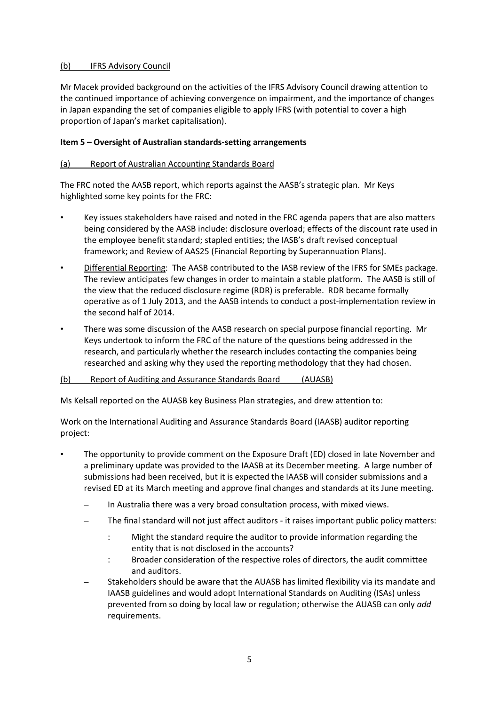### (b) IFRS Advisory Council

Mr Macek provided background on the activities of the IFRS Advisory Council drawing attention to the continued importance of achieving convergence on impairment, and the importance of changes in Japan expanding the set of companies eligible to apply IFRS (with potential to cover a high proportion of Japan's market capitalisation).

### **Item 5 – Oversight of Australian standards-setting arrangements**

### (a) Report of Australian Accounting Standards Board

The FRC noted the AASB report, which reports against the AASB's strategic plan. Mr Keys highlighted some key points for the FRC:

- Key issues stakeholders have raised and noted in the FRC agenda papers that are also matters being considered by the AASB include: disclosure overload; effects of the discount rate used in the employee benefit standard; stapled entities; the IASB's draft revised conceptual framework; and Review of AAS25 (Financial Reporting by Superannuation Plans).
- Differential Reporting: The AASB contributed to the IASB review of the IFRS for SMEs package. The review anticipates few changes in order to maintain a stable platform. The AASB is still of the view that the reduced disclosure regime (RDR) is preferable. RDR became formally operative as of 1 July 2013, and the AASB intends to conduct a post-implementation review in the second half of 2014.
- There was some discussion of the AASB research on special purpose financial reporting. Mr Keys undertook to inform the FRC of the nature of the questions being addressed in the research, and particularly whether the research includes contacting the companies being researched and asking why they used the reporting methodology that they had chosen.

#### (b) Report of Auditing and Assurance Standards Board (AUASB)

Ms Kelsall reported on the AUASB key Business Plan strategies, and drew attention to:

Work on the International Auditing and Assurance Standards Board (IAASB) auditor reporting project:

- The opportunity to provide comment on the Exposure Draft (ED) closed in late November and a preliminary update was provided to the IAASB at its December meeting. A large number of submissions had been received, but it is expected the IAASB will consider submissions and a revised ED at its March meeting and approve final changes and standards at its June meeting.
	- In Australia there was a very broad consultation process, with mixed views.
	- The final standard will not just affect auditors it raises important public policy matters:
		- : Might the standard require the auditor to provide information regarding the entity that is not disclosed in the accounts?
		- : Broader consideration of the respective roles of directors, the audit committee and auditors.
	- Stakeholders should be aware that the AUASB has limited flexibility via its mandate and IAASB guidelines and would adopt International Standards on Auditing (ISAs) unless prevented from so doing by local law or regulation; otherwise the AUASB can only *add* requirements.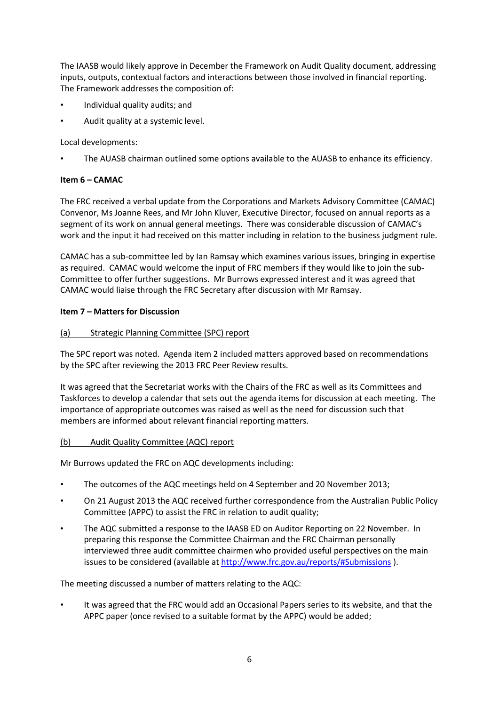The IAASB would likely approve in December the Framework on Audit Quality document, addressing inputs, outputs, contextual factors and interactions between those involved in financial reporting. The Framework addresses the composition of:

- Individual quality audits; and
- Audit quality at a systemic level.

Local developments:

• The AUASB chairman outlined some options available to the AUASB to enhance its efficiency.

# **Item 6 – CAMAC**

The FRC received a verbal update from the Corporations and Markets Advisory Committee (CAMAC) Convenor, Ms Joanne Rees, and Mr John Kluver, Executive Director, focused on annual reports as a segment of its work on annual general meetings. There was considerable discussion of CAMAC's work and the input it had received on this matter including in relation to the business judgment rule.

CAMAC has a sub-committee led by Ian Ramsay which examines various issues, bringing in expertise as required. CAMAC would welcome the input of FRC members if they would like to join the sub-Committee to offer further suggestions. Mr Burrows expressed interest and it was agreed that CAMAC would liaise through the FRC Secretary after discussion with Mr Ramsay.

### **Item 7 – Matters for Discussion**

### (a) Strategic Planning Committee (SPC) report

The SPC report was noted. Agenda item 2 included matters approved based on recommendations by the SPC after reviewing the 2013 FRC Peer Review results.

It was agreed that the Secretariat works with the Chairs of the FRC as well as its Committees and Taskforces to develop a calendar that sets out the agenda items for discussion at each meeting. The importance of appropriate outcomes was raised as well as the need for discussion such that members are informed about relevant financial reporting matters.

### (b) Audit Quality Committee (AQC) report

Mr Burrows updated the FRC on AQC developments including:

- The outcomes of the AQC meetings held on 4 September and 20 November 2013;
- On 21 August 2013 the AQC received further correspondence from the Australian Public Policy Committee (APPC) to assist the FRC in relation to audit quality;
- The AQC submitted a response to the IAASB ED on Auditor Reporting on 22 November. In preparing this response the Committee Chairman and the FRC Chairman personally interviewed three audit committee chairmen who provided useful perspectives on the main issues to be considered (available at<http://www.frc.gov.au/reports/#Submissions>).

The meeting discussed a number of matters relating to the AQC:

• It was agreed that the FRC would add an Occasional Papers series to its website, and that the APPC paper (once revised to a suitable format by the APPC) would be added;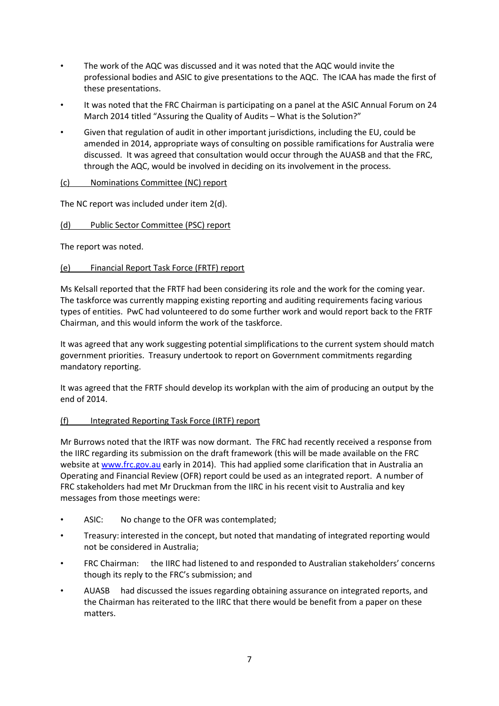- The work of the AQC was discussed and it was noted that the AQC would invite the professional bodies and ASIC to give presentations to the AQC. The ICAA has made the first of these presentations.
- It was noted that the FRC Chairman is participating on a panel at the ASIC Annual Forum on 24 March 2014 titled "Assuring the Quality of Audits – What is the Solution?"
- Given that regulation of audit in other important jurisdictions, including the EU, could be amended in 2014, appropriate ways of consulting on possible ramifications for Australia were discussed. It was agreed that consultation would occur through the AUASB and that the FRC, through the AQC, would be involved in deciding on its involvement in the process.

### (c) Nominations Committee (NC) report

The NC report was included under item 2(d).

# (d) Public Sector Committee (PSC) report

The report was noted.

### (e) Financial Report Task Force (FRTF) report

Ms Kelsall reported that the FRTF had been considering its role and the work for the coming year. The taskforce was currently mapping existing reporting and auditing requirements facing various types of entities. PwC had volunteered to do some further work and would report back to the FRTF Chairman, and this would inform the work of the taskforce.

It was agreed that any work suggesting potential simplifications to the current system should match government priorities. Treasury undertook to report on Government commitments regarding mandatory reporting.

It was agreed that the FRTF should develop its workplan with the aim of producing an output by the end of 2014.

### (f) Integrated Reporting Task Force (IRTF) report

Mr Burrows noted that the IRTF was now dormant. The FRC had recently received a response from the IIRC regarding its submission on the draft framework (this will be made available on the FRC website at [www.frc.gov.au](http://www.frc.gov.au/) early in 2014). This had applied some clarification that in Australia an Operating and Financial Review (OFR) report could be used as an integrated report. A number of FRC stakeholders had met Mr Druckman from the IIRC in his recent visit to Australia and key messages from those meetings were:

- ASIC: No change to the OFR was contemplated;
- Treasury: interested in the concept, but noted that mandating of integrated reporting would not be considered in Australia;
- FRC Chairman: the IIRC had listened to and responded to Australian stakeholders' concerns though its reply to the FRC's submission; and
- AUASB had discussed the issues regarding obtaining assurance on integrated reports, and the Chairman has reiterated to the IIRC that there would be benefit from a paper on these matters.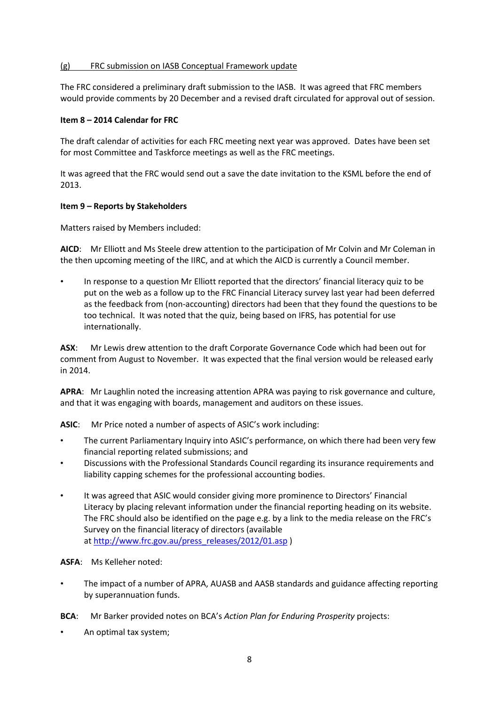#### (g) FRC submission on IASB Conceptual Framework update

The FRC considered a preliminary draft submission to the IASB. It was agreed that FRC members would provide comments by 20 December and a revised draft circulated for approval out of session.

#### **Item 8 – 2014 Calendar for FRC**

The draft calendar of activities for each FRC meeting next year was approved. Dates have been set for most Committee and Taskforce meetings as well as the FRC meetings.

It was agreed that the FRC would send out a save the date invitation to the KSML before the end of 2013.

#### **Item 9 – Reports by Stakeholders**

Matters raised by Members included:

**AICD**: Mr Elliott and Ms Steele drew attention to the participation of Mr Colvin and Mr Coleman in the then upcoming meeting of the IIRC, and at which the AICD is currently a Council member.

• In response to a question Mr Elliott reported that the directors' financial literacy quiz to be put on the web as a follow up to the FRC Financial Literacy survey last year had been deferred as the feedback from (non-accounting) directors had been that they found the questions to be too technical. It was noted that the quiz, being based on IFRS, has potential for use internationally.

**ASX**: Mr Lewis drew attention to the draft Corporate Governance Code which had been out for comment from August to November. It was expected that the final version would be released early in 2014.

**APRA**: Mr Laughlin noted the increasing attention APRA was paying to risk governance and culture, and that it was engaging with boards, management and auditors on these issues.

**ASIC**: Mr Price noted a number of aspects of ASIC's work including:

- The current Parliamentary Inquiry into ASIC's performance, on which there had been very few financial reporting related submissions; and
- Discussions with the Professional Standards Council regarding its insurance requirements and liability capping schemes for the professional accounting bodies.
- It was agreed that ASIC would consider giving more prominence to Directors' Financial Literacy by placing relevant information under the financial reporting heading on its website. The FRC should also be identified on the page e.g. by a link to the media release on the FRC's Survey on the financial literacy of directors (available at [http://www.frc.gov.au/press\\_releases/2012/01.asp](http://www.frc.gov.au/press_releases/2012/01.asp) )

**ASFA**: Ms Kelleher noted:

- The impact of a number of APRA, AUASB and AASB standards and guidance affecting reporting by superannuation funds.
- **BCA**: Mr Barker provided notes on BCA's *Action Plan for Enduring Prosperity* projects:
- An optimal tax system;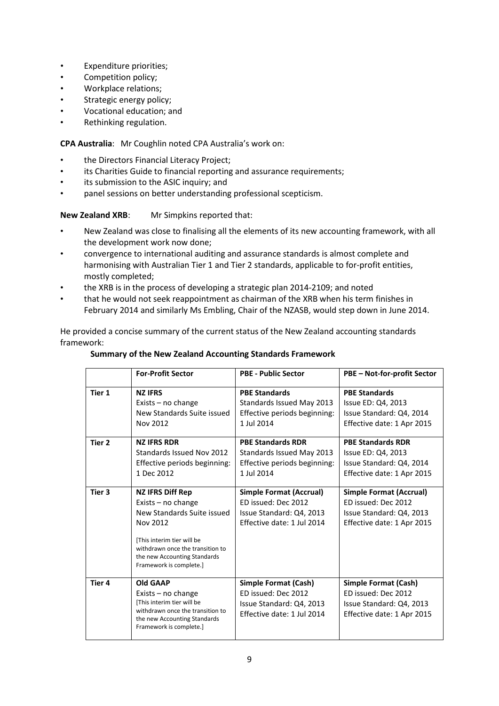- Expenditure priorities;
- Competition policy;
- Workplace relations;
- Strategic energy policy;
- Vocational education; and
- Rethinking regulation.

**CPA Australia**: Mr Coughlin noted CPA Australia's work on:

- the Directors Financial Literacy Project;
- its Charities Guide to financial reporting and assurance requirements;
- its submission to the ASIC inquiry; and
- panel sessions on better understanding professional scepticism.

**New Zealand XRB:** Mr Simpkins reported that:

- New Zealand was close to finalising all the elements of its new accounting framework, with all the development work now done;
- convergence to international auditing and assurance standards is almost complete and harmonising with Australian Tier 1 and Tier 2 standards, applicable to for-profit entities, mostly completed;
- the XRB is in the process of developing a strategic plan 2014-2109; and noted
- that he would not seek reappointment as chairman of the XRB when his term finishes in February 2014 and similarly Ms Embling, Chair of the NZASB, would step down in June 2014.

He provided a concise summary of the current status of the New Zealand accounting standards framework:

#### **Summary of the New Zealand Accounting Standards Framework**

|        | <b>For-Profit Sector</b>                                                                                                                                                                                               | <b>PBE - Public Sector</b>                                                                                   | PBE - Not-for-profit Sector                                                                                     |
|--------|------------------------------------------------------------------------------------------------------------------------------------------------------------------------------------------------------------------------|--------------------------------------------------------------------------------------------------------------|-----------------------------------------------------------------------------------------------------------------|
| Tier 1 | <b>NZ IFRS</b><br>Exists $-$ no change<br>New Standards Suite issued<br>Nov 2012                                                                                                                                       | <b>PBE Standards</b><br>Standards Issued May 2013<br>Effective periods beginning:<br>1 Jul 2014              | <b>PBE Standards</b><br>Issue ED: Q4, 2013<br>Issue Standard: Q4, 2014<br>Effective date: 1 Apr 2015            |
| Tier 2 | <b>NZ IFRS RDR</b><br>Standards Issued Nov 2012<br>Effective periods beginning:<br>1 Dec 2012                                                                                                                          | <b>PBE Standards RDR</b><br>Standards Issued May 2013<br>Effective periods beginning:<br>1 Jul 2014          | <b>PBE Standards RDR</b><br>Issue ED: Q4, 2013<br>Issue Standard: Q4, 2014<br>Effective date: 1 Apr 2015        |
| Tier 3 | <b>NZ IFRS Diff Rep</b><br>Exists $-$ no change<br>New Standards Suite issued<br>Nov 2012<br>[This interim tier will be<br>withdrawn once the transition to<br>the new Accounting Standards<br>Framework is complete.] | Simple Format (Accrual)<br>ED issued: Dec 2012<br>Issue Standard: Q4, 2013<br>Effective date: 1 Jul 2014     | <b>Simple Format (Accrual)</b><br>ED issued: Dec 2012<br>Issue Standard: Q4, 2013<br>Effective date: 1 Apr 2015 |
| Tier 4 | <b>Old GAAP</b><br>Exists $-$ no change<br>[This interim tier will be<br>withdrawn once the transition to<br>the new Accounting Standards<br>Framework is complete.]                                                   | <b>Simple Format (Cash)</b><br>ED issued: Dec 2012<br>Issue Standard: Q4, 2013<br>Effective date: 1 Jul 2014 | <b>Simple Format (Cash)</b><br>ED issued: Dec 2012<br>Issue Standard: Q4, 2013<br>Effective date: 1 Apr 2015    |